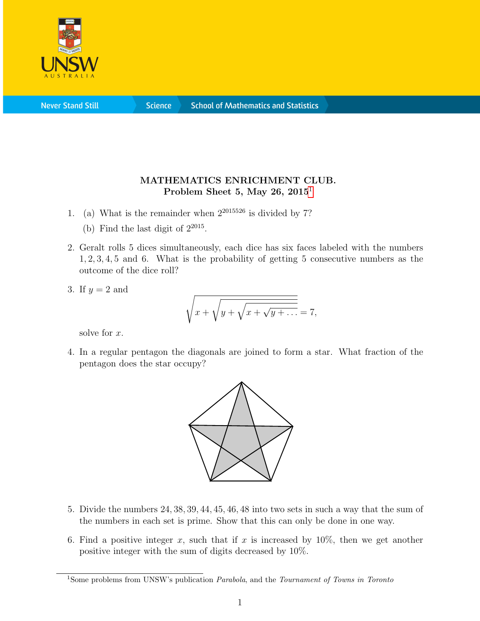

**Science** 

## MATHEMATICS ENRICHMENT CLUB. Problem Sheet 5, May 26,  $2015<sup>1</sup>$  $2015<sup>1</sup>$  $2015<sup>1</sup>$

- 1. (a) What is the remainder when  $2^{2015526}$  is divided by 7?
	- (b) Find the last digit of  $2^{2015}$ .
- 2. Geralt rolls 5 dices simultaneously, each dice has six faces labeled with the numbers 1, 2, 3, 4, 5 and 6. What is the probability of getting 5 consecutive numbers as the outcome of the dice roll?
- 3. If  $y = 2$  and

$$
\sqrt{x + \sqrt{y + \sqrt{x + \sqrt{y + \dots}}}} = 7,
$$

solve for x.

4. In a regular pentagon the diagonals are joined to form a star. What fraction of the pentagon does the star occupy?



- 5. Divide the numbers 24, 38, 39, 44, 45, 46, 48 into two sets in such a way that the sum of the numbers in each set is prime. Show that this can only be done in one way.
- 6. Find a positive integer x, such that if x is increased by  $10\%$ , then we get another positive integer with the sum of digits decreased by 10%.

<span id="page-0-0"></span><sup>&</sup>lt;sup>1</sup>Some problems from UNSW's publication *Parabola*, and the *Tournament of Towns in Toronto*